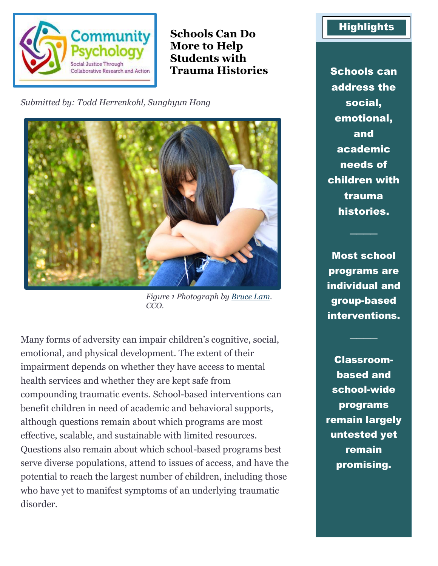

**Schools Can Do More to Help Students with Trauma Histories** Schools can

*Submitted by: Todd Herrenkohl, Sunghyun Hong*



*Figure 1 Photograph by [Bruce Lam.](a%20href=%22https:/pixabay.com/users/loilamtan-4659988/?utm_source=link-attribution&utm_medium=referral&utm_campaign=image&utm_content=2096998%22%3ebruce%20lam%3c/a%3e%20from%20%3ca%20href=%22https://pixabay.com/?utm_source=link-attribution&utm_medium=referral&utm_campaign=image&utm_content=2096998%22%3ePixabay%3c/a) CCO.*

Many forms of adversity can impair children's cognitive, social, emotional, and physical development. The extent of their impairment depends on whether they have access to mental health services and whether they are kept safe from compounding traumatic events. School-based interventions can benefit children in need of academic and behavioral supports, although questions remain about which programs are most effective, scalable, and sustainable with limited resources. Questions also remain about which school-based programs best serve diverse populations, attend to issues of access, and have the potential to reach the largest number of children, including those who have yet to manifest symptoms of an underlying traumatic disorder.

## **Highlights**

address the social, emotional, and academic needs of children with trauma histories.

Most school programs are individual and group-based interventions.

────

────

Classroombased and school-wide programs remain largely untested yet remain promising.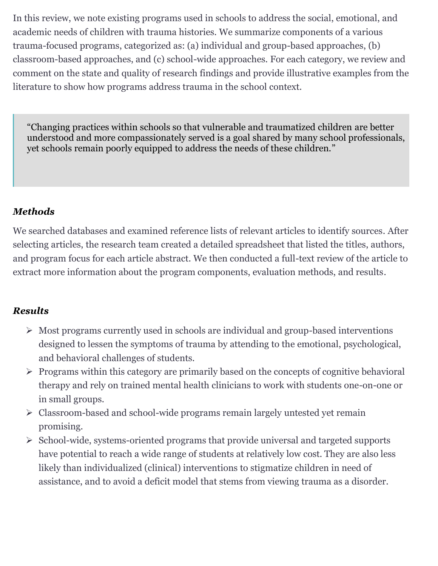In this review, we note existing programs used in schools to address the social, emotional, and academic needs of children with trauma histories. We summarize components of a various trauma-focused programs, categorized as: (a) individual and group-based approaches, (b) classroom-based approaches, and (c) school-wide approaches. For each category, we review and comment on the state and quality of research findings and provide illustrative examples from the literature to show how programs address trauma in the school context.

"Changing practices within schools so that vulnerable and traumatized children are better understood and more compassionately served is a goal shared by many school professionals, yet schools remain poorly equipped to address the needs of these children."

## *Methods*

We searched databases and examined reference lists of relevant articles to identify sources. After selecting articles, the research team created a detailed spreadsheet that listed the titles, authors, and program focus for each article abstract. We then conducted a full-text review of the article to extract more information about the program components, evaluation methods, and results.

## *Results*

- ➢ Most programs currently used in schools are individual and group-based interventions designed to lessen the symptoms of trauma by attending to the emotional, psychological, and behavioral challenges of students.
- ➢ Programs within this category are primarily based on the concepts of cognitive behavioral therapy and rely on trained mental health clinicians to work with students one-on-one or in small groups.
- ➢ Classroom-based and school-wide programs remain largely untested yet remain promising.
- ➢ School-wide, systems-oriented programs that provide universal and targeted supports have potential to reach a wide range of students at relatively low cost. They are also less likely than individualized (clinical) interventions to stigmatize children in need of assistance, and to avoid a deficit model that stems from viewing trauma as a disorder.